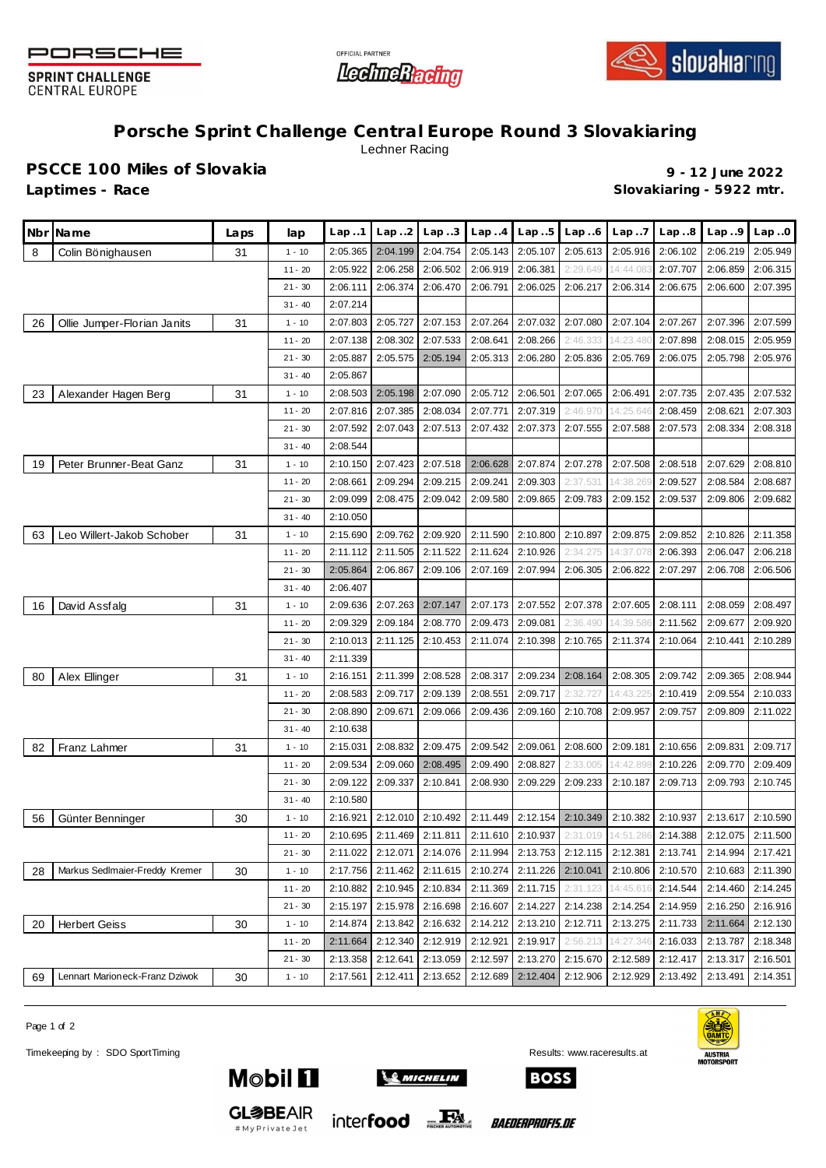

**SPRINT CHALLENGE CENTRAL EUROPE** 





**Porsche Sprint Challenge Central Europe Round 3 Slovakiaring** Lechner Racing

**PSCCE 100 Miles of Slovakia 9 - 12 June 2022**

**Laptimes - Race Slovakiaring - 5922 mtr.**

|    | Nbr Name                       | Laps | lap       | Lap.1    | Lap.2    | Lap.3    | Lap.4    | Lap.5    | Lap.6             | Lap.7              | Lap.8    | Lap.9    | Lap.0             |
|----|--------------------------------|------|-----------|----------|----------|----------|----------|----------|-------------------|--------------------|----------|----------|-------------------|
| 8  | Colin Bönighausen              | 31   | $1 - 10$  | 2:05.365 | 2:04.199 | 2:04.754 | 2:05.143 | 2:05.107 | 2:05.613          | 2:05.916           | 2:06.102 | 2:06.219 | 2:05.949          |
|    |                                |      | $11 - 20$ | 2:05.922 | 2:06.258 | 2:06.502 | 2:06.919 | 2:06.381 | 2:29.649          | 14:44.083          | 2:07.707 | 2:06.859 | 2:06.315          |
|    |                                |      | $21 - 30$ | 2:06.111 | 2:06.374 | 2:06.470 | 2:06.791 | 2:06.025 | 2:06.217          | 2:06.314           | 2:06.675 | 2:06.600 | 2:07.395          |
|    |                                |      | $31 - 40$ | 2:07.214 |          |          |          |          |                   |                    |          |          |                   |
| 26 | Ollie Jumper-Florian Janits    | 31   | $1 - 10$  | 2:07.803 | 2:05.727 | 2:07.153 | 2:07.264 | 2:07.032 | 2:07.080          | 2:07.104           | 2:07.267 | 2:07.396 | 2:07.599          |
|    |                                |      | $11 - 20$ | 2:07.138 | 2:08.302 | 2:07.533 | 2:08.641 | 2:08.266 | 2:46.333          | 14:23.48           | 2:07.898 | 2:08.015 | 2:05.959          |
|    |                                |      | $21 - 30$ | 2:05.887 | 2:05.575 | 2:05.194 | 2:05.313 | 2:06.280 | 2:05.836          | 2:05.769           | 2:06.075 | 2:05.798 | 2:05.976          |
|    |                                |      | $31 - 40$ | 2:05.867 |          |          |          |          |                   |                    |          |          |                   |
| 23 | Alexander Hagen Berg           | 31   | $1 - 10$  | 2:08.503 | 2:05.198 | 2:07.090 | 2:05.712 | 2:06.501 | 2:07.065          | 2:06.491           | 2:07.735 | 2:07.435 | 2:07.532          |
|    |                                |      | $11 - 20$ | 2:07.816 | 2:07.385 | 2:08.034 | 2:07.771 | 2:07.319 | 2:46.970          | 14:25.646          | 2:08.459 | 2:08.621 | 2:07.303          |
|    |                                |      | $21 - 30$ | 2:07.592 | 2:07.043 | 2:07.513 | 2:07.432 | 2:07.373 | 2:07.555          | 2:07.588           | 2:07.573 | 2:08.334 | 2:08.318          |
|    |                                |      | $31 - 40$ | 2:08.544 |          |          |          |          |                   |                    |          |          |                   |
| 19 | Peter Brunner-Beat Ganz        | 31   | $1 - 10$  | 2:10.150 | 2:07.423 | 2:07.518 | 2:06.628 | 2:07.874 | 2:07.278          | 2:07.508           | 2:08.518 | 2:07.629 | 2:08.810          |
|    |                                |      | $11 - 20$ | 2:08.661 | 2:09.294 | 2:09.215 | 2:09.241 | 2:09.303 | 2:37.531          | 14:38.269          | 2:09.527 | 2:08.584 | 2:08.687          |
|    |                                |      | $21 - 30$ | 2:09.099 | 2:08.475 | 2:09.042 | 2:09.580 | 2:09.865 | 2:09.783          | 2:09.152           | 2:09.537 | 2:09.806 | 2:09.682          |
|    |                                |      | $31 - 40$ | 2:10.050 |          |          |          |          |                   |                    |          |          |                   |
| 63 | Leo Willert-Jakob Schober      | 31   | $1 - 10$  | 2:15.690 | 2:09.762 | 2:09.920 | 2:11.590 | 2:10.800 | 2:10.897          | 2:09.875           | 2:09.852 | 2:10.826 | 2:11.358          |
|    |                                |      | $11 - 20$ | 2:11.112 | 2:11.505 | 2:11.522 | 2:11.624 | 2:10.926 | 2:34.275          | 14:37.078          | 2:06.393 | 2:06.047 | 2:06.218          |
|    |                                |      | $21 - 30$ | 2:05.864 | 2:06.867 | 2:09.106 | 2:07.169 | 2:07.994 | 2:06.305          | 2:06.822           | 2:07.297 | 2:06.708 | 2:06.506          |
|    |                                |      | $31 - 40$ | 2:06.407 |          |          |          |          |                   |                    |          |          |                   |
| 16 | David Assfalg                  | 31   | $1 - 10$  | 2:09.636 | 2:07.263 | 2:07.147 | 2:07.173 | 2:07.552 | 2:07.378          | 2:07.605           | 2:08.111 | 2:08.059 | 2:08.497          |
|    |                                |      | $11 - 20$ | 2:09.329 | 2:09.184 | 2:08.770 | 2:09.473 | 2:09.081 | 2:36.490          | 14:39.586          | 2:11.562 | 2:09.677 | 2:09.920          |
|    |                                |      | $21 - 30$ | 2:10.013 | 2:11.125 | 2:10.453 | 2:11.074 | 2:10.398 | 2:10.765          | 2:11.374           | 2:10.064 | 2:10.441 | 2:10.289          |
|    |                                |      | $31 - 40$ | 2:11.339 |          |          |          |          |                   |                    |          |          |                   |
| 80 | Alex Ellinger                  | 31   | $1 - 10$  | 2:16.151 | 2:11.399 | 2:08.528 | 2:08.317 | 2:09.234 | 2:08.164          | 2:08.305           | 2:09.742 | 2:09.365 | 2:08.944          |
|    |                                |      | $11 - 20$ | 2:08.583 | 2:09.717 | 2:09.139 | 2:08.551 | 2:09.717 | 2:32.727          | 14:43.22           | 2:10.419 | 2:09.554 | 2:10.033          |
|    |                                |      | $21 - 30$ | 2:08.890 | 2:09.671 | 2:09.066 | 2:09.436 | 2:09.160 | 2:10.708          | 2:09.957           | 2:09.757 | 2:09.809 | 2:11.022          |
|    |                                |      | $31 - 40$ | 2:10.638 |          |          |          |          |                   |                    |          |          |                   |
| 82 | Franz Lahmer                   | 31   | $1 - 10$  | 2:15.031 | 2:08.832 | 2:09.475 | 2:09.542 | 2:09.061 | 2:08.600          | 2:09.181           | 2:10.656 | 2:09.831 | 2:09.717          |
|    |                                |      | $11 - 20$ | 2:09.534 | 2:09.060 | 2:08.495 | 2:09.490 | 2:08.827 | 2:33.005          | 14:42.89           | 2:10.226 | 2:09.770 | 2:09.409          |
|    |                                |      | $21 - 30$ | 2:09.122 | 2:09.337 | 2:10.841 | 2:08.930 | 2:09.229 | 2:09.233          | 2:10.187           | 2:09.713 | 2:09.793 | 2:10.745          |
|    |                                |      | $31 - 40$ | 2:10.580 |          |          |          |          |                   |                    |          |          |                   |
| 56 | Günter Benninger               | 30   | $1 - 10$  | 2:16.921 | 2:12.010 | 2:10.492 | 2:11.449 | 2:12.154 | 2:10.349          | 2:10.382           | 2:10.937 | 2:13.617 | 2:10.590          |
|    |                                |      | $11 - 20$ | 2:10.695 | 2:11.469 | 2:11.811 | 2:11.610 | 2:10.937 |                   | 2:31.019 14:51.286 | 2:14.388 |          | 2:12.075 2:11.500 |
|    |                                |      | $21 - 30$ | 2:11.022 | 2:12.071 | 2:14.076 | 2:11.994 |          | 2:13.753 2:12.115 | 2:12.381           | 2:13.741 | 2:14.994 | 2:17.421          |
| 28 | Markus Sedlmaier-Freddy Kremer | 30   | $1 - 10$  | 2:17.756 | 2:11.462 | 2:11.615 | 2:10.274 | 2:11.226 | 2:10.041          | 2:10.806           | 2:10.570 | 2:10.683 | 2:11.390          |
|    |                                |      | $11 - 20$ | 2:10.882 | 2:10.945 | 2:10.834 | 2:11.369 | 2:11.715 | 2:31.123          | 14:45.616          | 2:14.544 | 2:14.460 | 2:14.245          |
|    |                                |      | $21 - 30$ | 2:15.197 | 2:15.978 | 2:16.698 | 2:16.607 | 2:14.227 | 2:14.238          | 2:14.254           | 2:14.959 | 2:16.250 | 2:16.916          |
| 20 | <b>Herbert Geiss</b>           | 30   | $1 - 10$  | 2:14.874 | 2:13.842 | 2:16.632 | 2:14.212 | 2:13.210 | 2:12.711          | 2:13.275           | 2:11.733 | 2:11.664 | 2:12.130          |
|    |                                |      | $11 - 20$ | 2:11.664 | 2:12.340 | 2:12.919 | 2:12.921 | 2:19.917 | 2:56.213          | 14:27.346          | 2:16.033 | 2:13.787 | 2:18.348          |
|    |                                |      | $21 - 30$ | 2:13.358 | 2:12.641 | 2:13.059 | 2:12.597 | 2:13.270 | 2:15.670          | 2:12.589           | 2:12.417 | 2:13.317 | 2:16.501          |
| 69 | Lennart Marioneck-Franz Dziwok | 30   | $1 - 10$  | 2:17.561 | 2:12.411 | 2:13.652 | 2:12.689 | 2:12.404 | 2:12.906          | 2:12.929           | 2:13.492 | 2:13.491 | 2:14.351          |

Page 1 of 2

Timekeeping by : SDO SportTiming Results: <www.raceresults.at>



**GL参BEAIR** 

#MyPrivateJet



inter**food** 

**BOSS** 

*BAEDERPROFIS.DE*